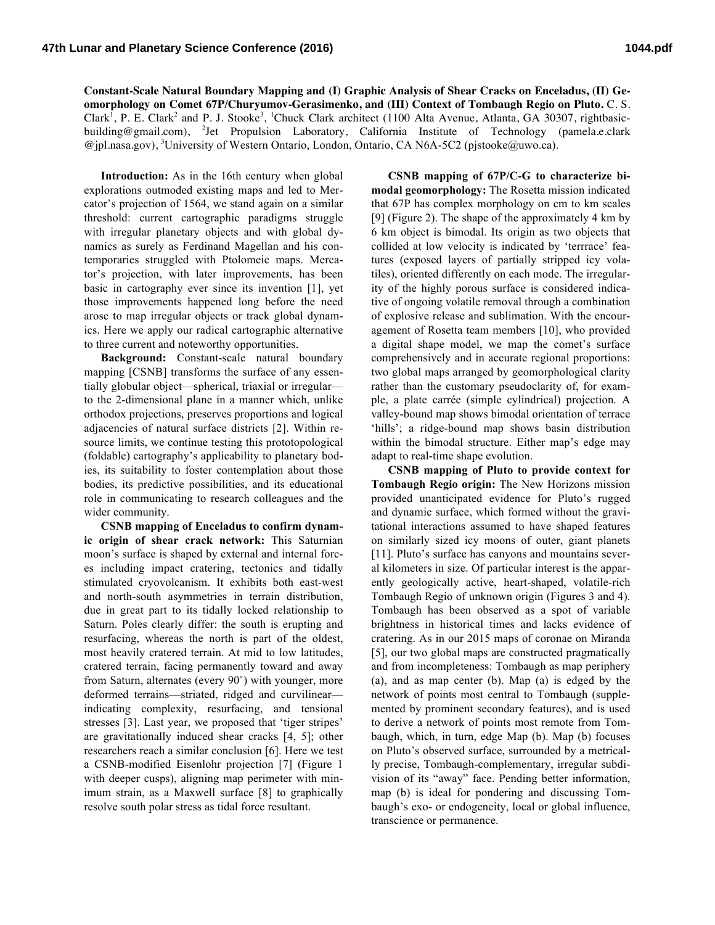**Constant-Scale Natural Boundary Mapping and (I) Graphic Analysis of Shear Cracks on Enceladus, (II) Geomorphology on Comet 67P/Churyumov-Gerasimenko, and (III) Context of Tombaugh Regio on Pluto.** C. S. Clark<sup>1</sup>, P. E. Clark<sup>2</sup> and P. J. Stooke<sup>3</sup>, <sup>1</sup>Chuck Clark architect (1100 Alta Avenue, Atlanta, GA 30307, rightbasicbuilding@gmail.com), <sup>2</sup>Jet Propulsion Laboratory, California Institute of Technology (pamela.e.clark @jpl.nasa.gov), <sup>3</sup>University of Western Ontario, London, Ontario, CA N6A-5C2 (pjstooke@uwo.ca).

**Introduction:** As in the 16th century when global explorations outmoded existing maps and led to Mercator's projection of 1564, we stand again on a similar threshold: current cartographic paradigms struggle with irregular planetary objects and with global dynamics as surely as Ferdinand Magellan and his contemporaries struggled with Ptolomeic maps. Mercator's projection, with later improvements, has been basic in cartography ever since its invention [1], yet those improvements happened long before the need arose to map irregular objects or track global dynamics. Here we apply our radical cartographic alternative to three current and noteworthy opportunities.

**Background:** Constant-scale natural boundary mapping [CSNB] transforms the surface of any essentially globular object—spherical, triaxial or irregular to the 2-dimensional plane in a manner which, unlike orthodox projections, preserves proportions and logical adjacencies of natural surface districts [2]. Within resource limits, we continue testing this prototopological (foldable) cartography's applicability to planetary bodies, its suitability to foster contemplation about those bodies, its predictive possibilities, and its educational role in communicating to research colleagues and the wider community.

**CSNB mapping of Enceladus to confirm dynamic origin of shear crack network:** This Saturnian moon's surface is shaped by external and internal forces including impact cratering, tectonics and tidally stimulated cryovolcanism. It exhibits both east-west and north-south asymmetries in terrain distribution, due in great part to its tidally locked relationship to Saturn. Poles clearly differ: the south is erupting and resurfacing, whereas the north is part of the oldest, most heavily cratered terrain. At mid to low latitudes, cratered terrain, facing permanently toward and away from Saturn, alternates (every 90˚) with younger, more deformed terrains—striated, ridged and curvilinear indicating complexity, resurfacing, and tensional stresses [3]. Last year, we proposed that 'tiger stripes' are gravitationally induced shear cracks [4, 5]; other researchers reach a similar conclusion [6]. Here we test a CSNB-modified Eisenlohr projection [7] (Figure 1 with deeper cusps), aligning map perimeter with minimum strain, as a Maxwell surface [8] to graphically resolve south polar stress as tidal force resultant.

**CSNB mapping of 67P/C-G to characterize bimodal geomorphology:** The Rosetta mission indicated that 67P has complex morphology on cm to km scales [9] (Figure 2). The shape of the approximately 4 km by 6 km object is bimodal. Its origin as two objects that collided at low velocity is indicated by 'terrrace' features (exposed layers of partially stripped icy volatiles), oriented differently on each mode. The irregularity of the highly porous surface is considered indicative of ongoing volatile removal through a combination of explosive release and sublimation. With the encouragement of Rosetta team members [10], who provided a digital shape model, we map the comet's surface comprehensively and in accurate regional proportions: two global maps arranged by geomorphological clarity rather than the customary pseudoclarity of, for example, a plate carrée (simple cylindrical) projection. A valley-bound map shows bimodal orientation of terrace 'hills'; a ridge-bound map shows basin distribution within the bimodal structure. Either map's edge may adapt to real-time shape evolution.

**CSNB mapping of Pluto to provide context for Tombaugh Regio origin:** The New Horizons mission provided unanticipated evidence for Pluto's rugged and dynamic surface, which formed without the gravitational interactions assumed to have shaped features on similarly sized icy moons of outer, giant planets [11]. Pluto's surface has canyons and mountains several kilometers in size. Of particular interest is the apparently geologically active, heart-shaped, volatile-rich Tombaugh Regio of unknown origin (Figures 3 and 4). Tombaugh has been observed as a spot of variable brightness in historical times and lacks evidence of cratering. As in our 2015 maps of coronae on Miranda [5], our two global maps are constructed pragmatically and from incompleteness: Tombaugh as map periphery (a), and as map center (b). Map (a) is edged by the network of points most central to Tombaugh (supplemented by prominent secondary features), and is used to derive a network of points most remote from Tombaugh, which, in turn, edge Map (b). Map (b) focuses on Pluto's observed surface, surrounded by a metrically precise, Tombaugh-complementary, irregular subdivision of its "away" face. Pending better information, map (b) is ideal for pondering and discussing Tombaugh's exo- or endogeneity, local or global influence, transcience or permanence.